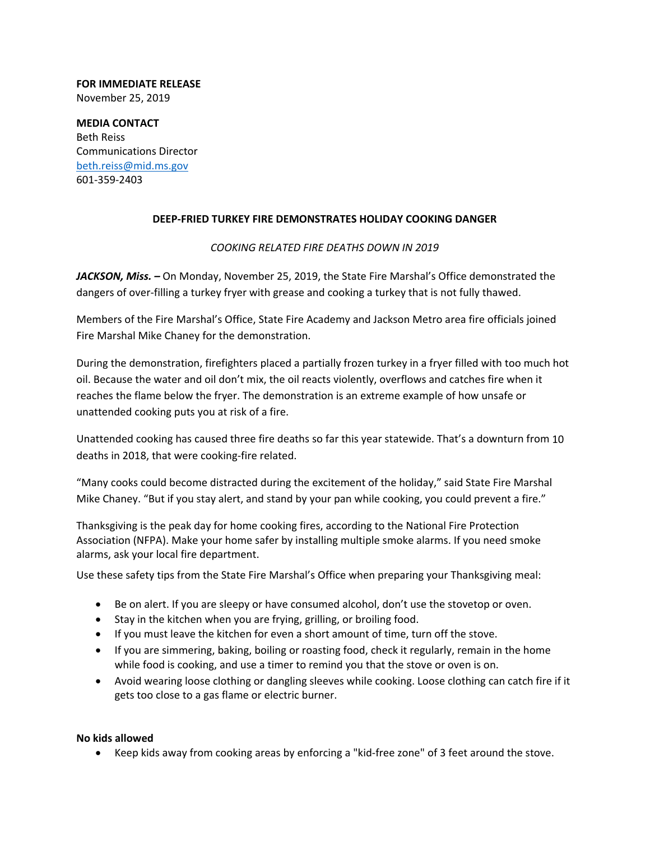### **FOR IMMEDIATE RELEASE** November 25, 2019

**MEDIA CONTACT** Beth Reiss Communications Director beth.reiss@mid.ms.gov 601‐359‐2403

# **DEEP‐FRIED TURKEY FIRE DEMONSTRATES HOLIDAY COOKING DANGER**

## *COOKING RELATED FIRE DEATHS DOWN IN 2019*

*JACKSON, Miss. –* On Monday, November 25, 2019, the State Fire Marshal's Office demonstrated the dangers of over‐filling a turkey fryer with grease and cooking a turkey that is not fully thawed.

Members of the Fire Marshal's Office, State Fire Academy and Jackson Metro area fire officials joined Fire Marshal Mike Chaney for the demonstration.

During the demonstration, firefighters placed a partially frozen turkey in a fryer filled with too much hot oil. Because the water and oil don't mix, the oil reacts violently, overflows and catches fire when it reaches the flame below the fryer. The demonstration is an extreme example of how unsafe or unattended cooking puts you at risk of a fire.

Unattended cooking has caused three fire deaths so far this year statewide. That's a downturn from 10 deaths in 2018, that were cooking‐fire related.

"Many cooks could become distracted during the excitement of the holiday," said State Fire Marshal Mike Chaney. "But if you stay alert, and stand by your pan while cooking, you could prevent a fire."

Thanksgiving is the peak day for home cooking fires, according to the National Fire Protection Association (NFPA). Make your home safer by installing multiple smoke alarms. If you need smoke alarms, ask your local fire department.

Use these safety tips from the State Fire Marshal's Office when preparing your Thanksgiving meal:

- Be on alert. If you are sleepy or have consumed alcohol, don't use the stovetop or oven.
- Stay in the kitchen when you are frying, grilling, or broiling food.
- If you must leave the kitchen for even a short amount of time, turn off the stove.
- If you are simmering, baking, boiling or roasting food, check it regularly, remain in the home while food is cooking, and use a timer to remind you that the stove or oven is on.
- Avoid wearing loose clothing or dangling sleeves while cooking. Loose clothing can catch fire if it gets too close to a gas flame or electric burner.

## **No kids allowed**

● Keep kids away from cooking areas by enforcing a "kid-free zone" of 3 feet around the stove.